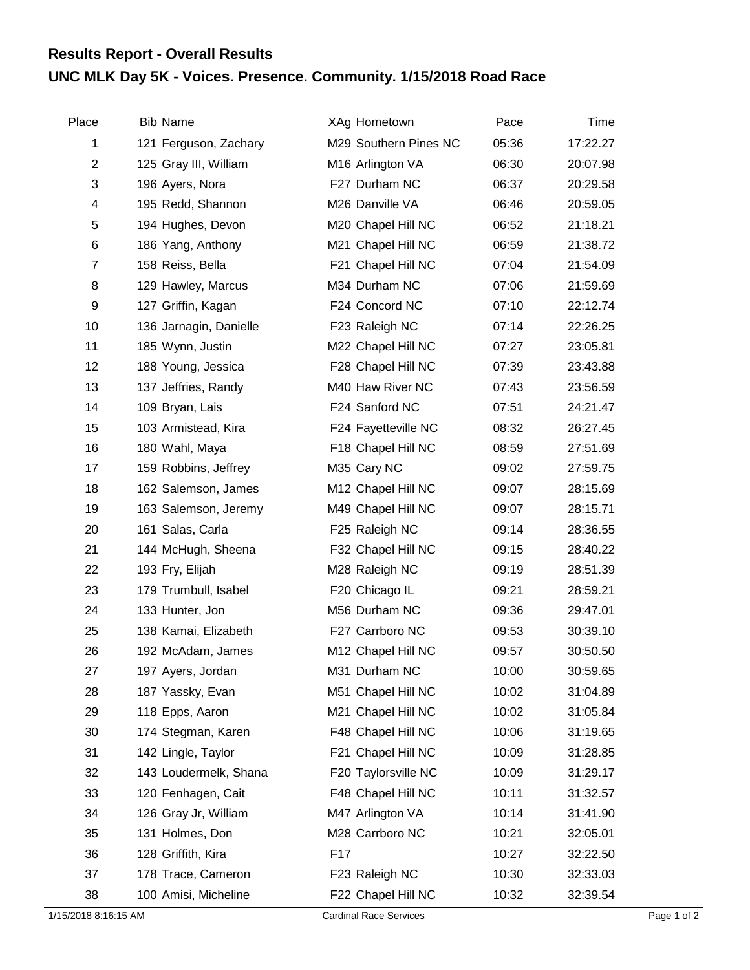## **UNC MLK Day 5K - Voices. Presence. Community. 1/15/2018 Road Race Results Report - Overall Results**

| Place          | <b>Bib Name</b>        | XAg Hometown          | Pace  | Time     |  |
|----------------|------------------------|-----------------------|-------|----------|--|
| 1              | 121 Ferguson, Zachary  | M29 Southern Pines NC | 05:36 | 17:22.27 |  |
| $\overline{2}$ | 125 Gray III, William  | M16 Arlington VA      | 06:30 | 20:07.98 |  |
| 3              | 196 Ayers, Nora        | F27 Durham NC         | 06:37 | 20:29.58 |  |
| 4              | 195 Redd, Shannon      | M26 Danville VA       | 06:46 | 20:59.05 |  |
| 5              | 194 Hughes, Devon      | M20 Chapel Hill NC    | 06:52 | 21:18.21 |  |
| $\,6$          | 186 Yang, Anthony      | M21 Chapel Hill NC    | 06:59 | 21:38.72 |  |
| $\overline{7}$ | 158 Reiss, Bella       | F21 Chapel Hill NC    | 07:04 | 21:54.09 |  |
| 8              | 129 Hawley, Marcus     | M34 Durham NC         | 07:06 | 21:59.69 |  |
| 9              | 127 Griffin, Kagan     | F24 Concord NC        | 07:10 | 22:12.74 |  |
| 10             | 136 Jarnagin, Danielle | F23 Raleigh NC        | 07:14 | 22:26.25 |  |
| 11             | 185 Wynn, Justin       | M22 Chapel Hill NC    | 07:27 | 23:05.81 |  |
| 12             | 188 Young, Jessica     | F28 Chapel Hill NC    | 07:39 | 23:43.88 |  |
| 13             | 137 Jeffries, Randy    | M40 Haw River NC      | 07:43 | 23:56.59 |  |
| 14             | 109 Bryan, Lais        | F24 Sanford NC        | 07:51 | 24:21.47 |  |
| 15             | 103 Armistead, Kira    | F24 Fayetteville NC   | 08:32 | 26:27.45 |  |
| 16             | 180 Wahl, Maya         | F18 Chapel Hill NC    | 08:59 | 27:51.69 |  |
| 17             | 159 Robbins, Jeffrey   | M35 Cary NC           | 09:02 | 27:59.75 |  |
| 18             | 162 Salemson, James    | M12 Chapel Hill NC    | 09:07 | 28:15.69 |  |
| 19             | 163 Salemson, Jeremy   | M49 Chapel Hill NC    | 09:07 | 28:15.71 |  |
| 20             | 161 Salas, Carla       | F25 Raleigh NC        | 09:14 | 28:36.55 |  |
| 21             | 144 McHugh, Sheena     | F32 Chapel Hill NC    | 09:15 | 28:40.22 |  |
| 22             | 193 Fry, Elijah        | M28 Raleigh NC        | 09:19 | 28:51.39 |  |
| 23             | 179 Trumbull, Isabel   | F20 Chicago IL        | 09:21 | 28:59.21 |  |
| 24             | 133 Hunter, Jon        | M56 Durham NC         | 09:36 | 29:47.01 |  |
| 25             | 138 Kamai, Elizabeth   | F27 Carrboro NC       | 09:53 | 30:39.10 |  |
| 26             | 192 McAdam, James      | M12 Chapel Hill NC    | 09:57 | 30:50.50 |  |
| 27             | 197 Ayers, Jordan      | M31 Durham NC         | 10:00 | 30:59.65 |  |
| 28             | 187 Yassky, Evan       | M51 Chapel Hill NC    | 10:02 | 31:04.89 |  |
| 29             | 118 Epps, Aaron        | M21 Chapel Hill NC    | 10:02 | 31:05.84 |  |
| 30             | 174 Stegman, Karen     | F48 Chapel Hill NC    | 10:06 | 31:19.65 |  |
| 31             | 142 Lingle, Taylor     | F21 Chapel Hill NC    | 10:09 | 31:28.85 |  |
| 32             | 143 Loudermelk, Shana  | F20 Taylorsville NC   | 10:09 | 31:29.17 |  |
| 33             | 120 Fenhagen, Cait     | F48 Chapel Hill NC    | 10:11 | 31:32.57 |  |
| 34             | 126 Gray Jr, William   | M47 Arlington VA      | 10:14 | 31:41.90 |  |
| 35             | 131 Holmes, Don        | M28 Carrboro NC       | 10:21 | 32:05.01 |  |
| 36             | 128 Griffith, Kira     | F17                   | 10:27 | 32:22.50 |  |
| 37             | 178 Trace, Cameron     | F23 Raleigh NC        | 10:30 | 32:33.03 |  |
| 38             | 100 Amisi, Micheline   | F22 Chapel Hill NC    | 10:32 | 32:39.54 |  |